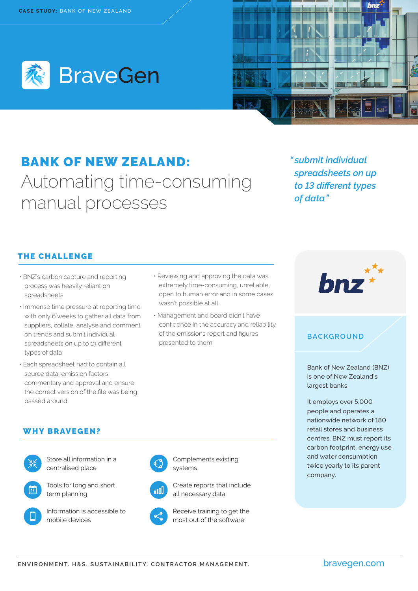



# BANK OF NEW ZEALAND: Automating time-consuming manual processes

*" submit individual spreadsheets on up to 13 different types of data"*

# THE CHALLENGE

- BNZ's carbon capture and reporting process was heavily reliant on spreadsheets
- Immense time pressure at reporting time with only 6 weeks to gather all data from suppliers, collate, analyse and comment on trends and submit individual spreadsheets on up to 13 different types of data
- Each spreadsheet had to contain all source data, emission factors, commentary and approval and ensure the correct version of the file was being passed around
- Reviewing and approving the data was extremely time-consuming, unreliable, open to human error and in some cases wasn't possible at all
- Management and board didn't have confidence in the accuracy and reliability of the emissions report and figures presented to them



### **BACKGROUND**

Bank of New Zealand (BNZ) is one of New Zealand's largest banks.

It employs over 5,000 people and operates a nationwide network of 180 retail stores and business centres. BNZ must report its carbon footprint, energy use and water consumption twice yearly to its parent company.

#### WHY BRAVEGEN?



Store all information in a centralised place



Tools for long and short term planning



Information is accessible to









Receive training to get the